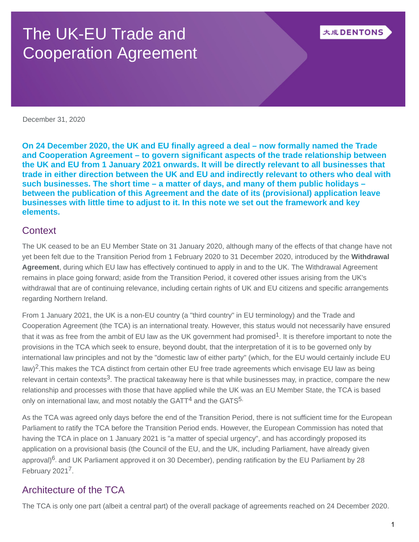# The UK-EU Trade and Cooperation Agreement

December 31, 2020

**On 24 December 2020, the UK and EU finally agreed a deal – now formally named the Trade and Cooperation Agreement – to govern significant aspects of the trade relationship between the UK and EU from 1 January 2021 onwards. It will be directly relevant to all businesses that trade in either direction between the UK and EU and indirectly relevant to others who deal with such businesses. The short time – a matter of days, and many of them public holidays – between the publication of this Agreement and the date of its (provisional) application leave businesses with little time to adjust to it. In this note we set out the framework and key elements.**

## **Context**

The UK ceased to be an EU Member State on 31 January 2020, although many of the effects of that change have not yet been felt due to the Transition Period from 1 February 2020 to 31 December 2020, introduced by the **Withdrawal Agreement**, during which EU law has effectively continued to apply in and to the UK. The Withdrawal Agreement remains in place going forward; aside from the Transition Period, it covered other issues arising from the UK's withdrawal that are of continuing relevance, including certain rights of UK and EU citizens and specific arrangements regarding Northern Ireland.

From 1 January 2021, the UK is a non-EU country (a "third country" in EU terminology) and the Trade and Cooperation Agreement (the TCA) is an international treaty. However, this status would not necessarily have ensured that it was as free from the ambit of EU law as the UK government had promised<sup>1</sup>. It is therefore important to note the provisions in the TCA which seek to ensure, beyond doubt, that the interpretation of it is to be governed only by international law principles and not by the "domestic law of either party" (which, for the EU would certainly include EU law)<sup>2</sup>. This makes the TCA distinct from certain other EU free trade agreements which envisage EU law as being relevant in certain contexts<sup>3</sup>. The practical takeaway here is that while businesses may, in practice, compare the new relationship and processes with those that have applied while the UK was an EU Member State, the TCA is based only on international law, and most notably the GATT $<sup>4</sup>$  and the GATS<sup>5.</sup></sup>

As the TCA was agreed only days before the end of the Transition Period, there is not sufficient time for the European Parliament to ratify the TCA before the Transition Period ends. However, the European Commission has noted that having the TCA in place on 1 January 2021 is "a matter of special urgency", and has accordingly proposed its application on a provisional basis (the Council of the EU, and the UK, including Parliament, have already given approval)<sup>6</sup>, and UK Parliament approved it on 30 December), pending ratification by the EU Parliament by 28 February 20217.

# Architecture of the TCA

The TCA is only one part (albeit a central part) of the overall package of agreements reached on 24 December 2020.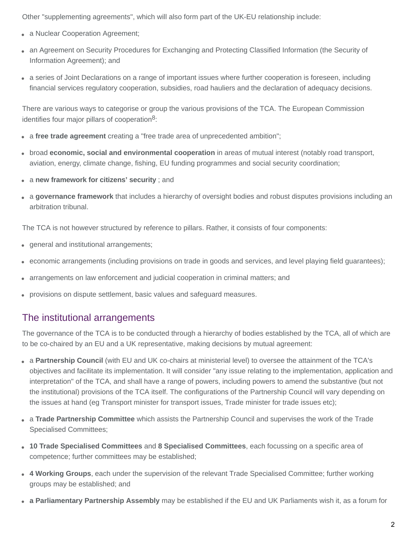Other "supplementing agreements", which will also form part of the UK-EU relationship include:

- a Nuclear Cooperation Agreement; **•**
- an Agreement on Security Procedures for Exchanging and Protecting Classified Information (the Security of **•** Information Agreement); and
- a series of Joint Declarations on a range of important issues where further cooperation is foreseen, including **•** financial services regulatory cooperation, subsidies, road hauliers and the declaration of adequacy decisions.

There are various ways to categorise or group the various provisions of the TCA. The European Commission identifies four major pillars of cooperation<sup>8</sup>:

- a free trade agreement creating a "free trade area of unprecedented ambition";
- broad **economic, social and environmental cooperation** in areas of mutual interest (notably road transport, **•** aviation, energy, climate change, fishing, EU funding programmes and social security coordination;
- a **new framework for citizens' security** ; and **•**
- a **governance framework** that includes a hierarchy of oversight bodies and robust disputes provisions including an **•** arbitration tribunal.

The TCA is not however structured by reference to pillars. Rather, it consists of four components:

- general and institutional arrangements; **•**
- economic arrangements (including provisions on trade in goods and services, and level playing field guarantees); **•**
- arrangements on law enforcement and judicial cooperation in criminal matters; and **•**
- provisions on dispute settlement, basic values and safeguard measures. **•**

## The institutional arrangements

The governance of the TCA is to be conducted through a hierarchy of bodies established by the TCA, all of which are to be co-chaired by an EU and a UK representative, making decisions by mutual agreement:

- a **Partnership Council** (with EU and UK co-chairs at ministerial level) to oversee the attainment of the TCA's **•** objectives and facilitate its implementation. It will consider "any issue relating to the implementation, application and interpretation" of the TCA, and shall have a range of powers, including powers to amend the substantive (but not the institutional) provisions of the TCA itself. The configurations of the Partnership Council will vary depending on the issues at hand (eg Transport minister for transport issues, Trade minister for trade issues etc);
- a **Trade Partnership Committee** which assists the Partnership Council and supervises the work of the Trade **•** Specialised Committees;
- **10 Trade Specialised Committees** and **8 Specialised Committees**, each focussing on a specific area of **•** competence; further committees may be established;
- **4 Working Groups**, each under the supervision of the relevant Trade Specialised Committee; further working **•** groups may be established; and
- **a Parliamentary Partnership Assembly** may be established if the EU and UK Parliaments wish it, as a forum for **•**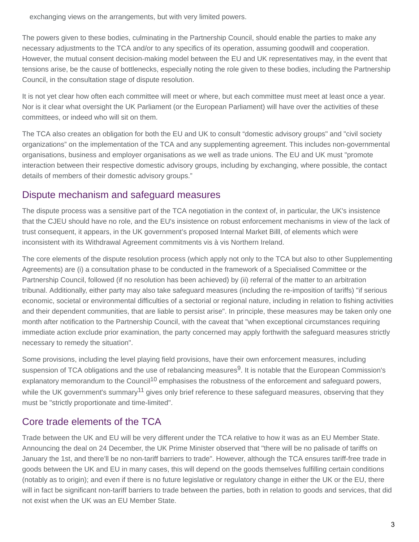exchanging views on the arrangements, but with very limited powers.

The powers given to these bodies, culminating in the Partnership Council, should enable the parties to make any necessary adjustments to the TCA and/or to any specifics of its operation, assuming goodwill and cooperation. However, the mutual consent decision-making model between the EU and UK representatives may, in the event that tensions arise, be the cause of bottlenecks, especially noting the role given to these bodies, including the Partnership Council, in the consultation stage of dispute resolution.

It is not yet clear how often each committee will meet or where, but each committee must meet at least once a year. Nor is it clear what oversight the UK Parliament (or the European Parliament) will have over the activities of these committees, or indeed who will sit on them.

The TCA also creates an obligation for both the EU and UK to consult "domestic advisory groups" and "civil society organizations" on the implementation of the TCA and any supplementing agreement. This includes non-governmental organisations, business and employer organisations as we well as trade unions. The EU and UK must "promote interaction between their respective domestic advisory groups, including by exchanging, where possible, the contact details of members of their domestic advisory groups."

## Dispute mechanism and safeguard measures

The dispute process was a sensitive part of the TCA negotiation in the context of, in particular, the UK's insistence that the CJEU should have no role, and the EU's insistence on robust enforcement mechanisms in view of the lack of trust consequent, it appears, in the UK government's proposed Internal Market Billl, of elements which were inconsistent with its Withdrawal Agreement commitments vis à vis Northern Ireland.

The core elements of the dispute resolution process (which apply not only to the TCA but also to other Supplementing Agreements) are (i) a consultation phase to be conducted in the framework of a Specialised Committee or the Partnership Council, followed (if no resolution has been achieved) by (ii) referral of the matter to an arbitration tribunal. Additionally, either party may also take safeguard measures (including the re-imposition of tariffs) "if serious economic, societal or environmental difficulties of a sectorial or regional nature, including in relation to fishing activities and their dependent communities, that are liable to persist arise". In principle, these measures may be taken only one month after notification to the Partnership Council, with the caveat that "when exceptional circumstances requiring immediate action exclude prior examination, the party concerned may apply forthwith the safeguard measures strictly necessary to remedy the situation".

Some provisions, including the level playing field provisions, have their own enforcement measures, including suspension of TCA obligations and the use of rebalancing measures<sup>9</sup>. It is notable that the European Commission's explanatory memorandum to the Council<sup>10</sup> emphasises the robustness of the enforcement and safeguard powers, while the UK government's summary<sup>11</sup> gives only brief reference to these safeguard measures, observing that they must be "strictly proportionate and time-limited".

## Core trade elements of the TCA

Trade between the UK and EU will be very different under the TCA relative to how it was as an EU Member State. Announcing the deal on 24 December, the UK Prime Minister observed that "there will be no palisade of tariffs on January the 1st, and there'll be no non-tariff barriers to trade". However, although the TCA ensures tariff-free trade in goods between the UK and EU in many cases, this will depend on the goods themselves fulfilling certain conditions (notably as to origin); and even if there is no future legislative or regulatory change in either the UK or the EU, there will in fact be significant non-tariff barriers to trade between the parties, both in relation to goods and services, that did not exist when the UK was an EU Member State.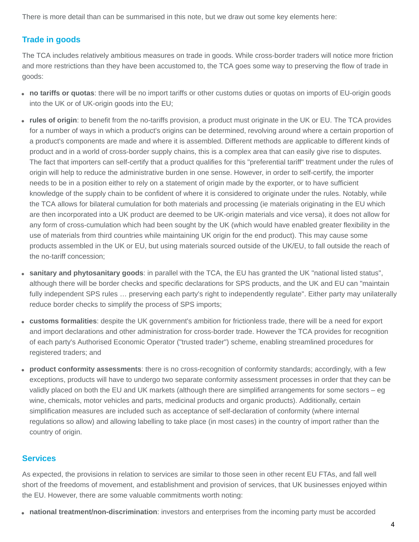There is more detail than can be summarised in this note, but we draw out some key elements here:

#### **Trade in goods**

The TCA includes relatively ambitious measures on trade in goods. While cross-border traders will notice more friction and more restrictions than they have been accustomed to, the TCA goes some way to preserving the flow of trade in goods:

- **no tariffs or quotas**: there will be no import tariffs or other customs duties or quotas on imports of EU-origin goods **•** into the UK or of UK-origin goods into the EU;
- **rules of origin**: to benefit from the no-tariffs provision, a product must originate in the UK or EU. The TCA provides **•** for a number of ways in which a product's origins can be determined, revolving around where a certain proportion of a product's components are made and where it is assembled. Different methods are applicable to different kinds of product and in a world of cross-border supply chains, this is a complex area that can easily give rise to disputes. The fact that importers can self-certify that a product qualifies for this "preferential tariff" treatment under the rules of origin will help to reduce the administrative burden in one sense. However, in order to self-certify, the importer needs to be in a position either to rely on a statement of origin made by the exporter, or to have sufficient knowledge of the supply chain to be confident of where it is considered to originate under the rules. Notably, while the TCA allows for bilateral cumulation for both materials and processing (ie materials originating in the EU which are then incorporated into a UK product are deemed to be UK-origin materials and vice versa), it does not allow for any form of cross-cumulation which had been sought by the UK (which would have enabled greater flexibility in the use of materials from third countries while maintaining UK origin for the end product). This may cause some products assembled in the UK or EU, but using materials sourced outside of the UK/EU, to fall outside the reach of the no-tariff concession;
- **sanitary and phytosanitary goods**: in parallel with the TCA, the EU has granted the UK "national listed status", **•** although there will be border checks and specific declarations for SPS products, and the UK and EU can "maintain fully independent SPS rules ... preserving each party's right to independently regulate". Either party may unilaterally reduce border checks to simplify the process of SPS imports;
- **customs formalities**: despite the UK government's ambition for frictionless trade, there will be a need for export **•** and import declarations and other administration for cross-border trade. However the TCA provides for recognition of each party's Authorised Economic Operator ("trusted trader") scheme, enabling streamlined procedures for registered traders; and
- **product conformity assessments**: there is no cross-recognition of conformity standards; accordingly, with a few **•** exceptions, products will have to undergo two separate conformity assessment processes in order that they can be validly placed on both the EU and UK markets (although there are simplified arrangements for some sectors – eg wine, chemicals, motor vehicles and parts, medicinal products and organic products). Additionally, certain simplification measures are included such as acceptance of self-declaration of conformity (where internal regulations so allow) and allowing labelling to take place (in most cases) in the country of import rather than the country of origin.

#### **Services**

As expected, the provisions in relation to services are similar to those seen in other recent EU FTAs, and fall well short of the freedoms of movement, and establishment and provision of services, that UK businesses enjoyed within the EU. However, there are some valuable commitments worth noting:

**• national treatment/non-discrimination**: investors and enterprises from the incoming party must be accorded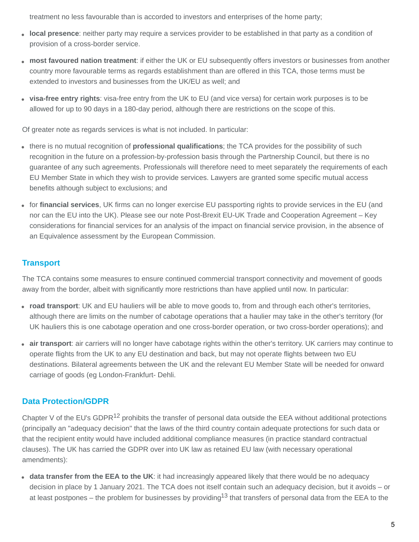treatment no less favourable than is accorded to investors and enterprises of the home party;

- **local presence**: neither party may require a services provider to be established in that party as a condition of **•** provision of a cross-border service.
- **most favoured nation treatment**: if either the UK or EU subsequently offers investors or businesses from another **•** country more favourable terms as regards establishment than are offered in this TCA, those terms must be extended to investors and businesses from the UK/EU as well; and
- **visa-free entry rights**: visa-free entry from the UK to EU (and vice versa) for certain work purposes is to be **•** allowed for up to 90 days in a 180-day period, although there are restrictions on the scope of this.

Of greater note as regards services is what is not included. In particular:

- there is no mutual recognition of **professional qualifications**; the TCA provides for the possibility of such **•** recognition in the future on a profession-by-profession basis through the Partnership Council, but there is no guarantee of any such agreements. Professionals will therefore need to meet separately the requirements of each EU Member State in which they wish to provide services. Lawyers are granted some specific mutual access benefits although subject to exclusions; and
- for **financial services**, UK firms can no longer exercise EU passporting rights to provide services in the EU (and **•** nor can the EU into the UK). Please see our note [Post-Brexit EU-UK Trade and Cooperation Agreement – Key](https://www.dentons.com/en/insights/articles/2020/december/28/post-brexit-eu-uk-trade-and-cooperation-agreement-key-considerations-for-financial-services) considerations for financial services for an analysis of the impact on financial service provision, in the absence of an Equivalence assessment by the European Commission.

## **Transport**

The TCA contains some measures to ensure continued commercial transport connectivity and movement of goods away from the border, albeit with significantly more restrictions than have applied until now. In particular:

- **road transport**: UK and EU hauliers will be able to move goods to, from and through each other's territories, **•** although there are limits on the number of cabotage operations that a haulier may take in the other's territory (for UK hauliers this is one cabotage operation and one cross-border operation, or two cross-border operations); and
- **air transport**: air carriers will no longer have cabotage rights within the other's territory. UK carriers may continue to **•** operate flights from the UK to any EU destination and back, but may not operate flights between two EU destinations. Bilateral agreements between the UK and the relevant EU Member State will be needed for onward carriage of goods (eg London-Frankfurt- Dehli.

## **Data Protection/GDPR**

Chapter V of the EU's GDPR<sup>12</sup> prohibits the transfer of personal data outside the EEA without additional protections (principally an "adequacy decision" that the laws of the third country contain adequate protections for such data or that the recipient entity would have included additional compliance measures (in practice standard contractual clauses). The UK has carried the GDPR over into UK law as retained EU law (with necessary operational amendments):

**data transfer from the EEA to the UK**: it had increasingly appeared likely that there would be no adequacy **•** decision in place by 1 January 2021. The TCA does not itself contain such an adequacy decision, but it avoids – or at least postpones – the problem for businesses by providing<sup>13</sup> that transfers of personal data from the EEA to the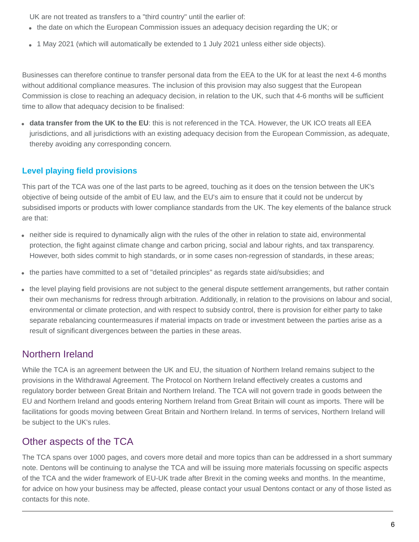UK are not treated as transfers to a "third country" until the earlier of:

- the date on which the European Commission issues an adequacy decision regarding the UK; or **•**
- 1 May 2021 (which will automatically be extended to 1 July 2021 unless either side objects). **•**

Businesses can therefore continue to transfer personal data from the EEA to the UK for at least the next 4-6 months without additional compliance measures. The inclusion of this provision may also suggest that the European Commission is close to reaching an adequacy decision, in relation to the UK, such that 4-6 months will be sufficient time to allow that adequacy decision to be finalised:

**data transfer from the UK to the EU**: this is not referenced in the TCA. However, the UK ICO treats all EEA **•** jurisdictions, and all jurisdictions with an existing adequacy decision from the European Commission, as adequate, thereby avoiding any corresponding concern.

## **Level playing field provisions**

This part of the TCA was one of the last parts to be agreed, touching as it does on the tension between the UK's objective of being outside of the ambit of EU law, and the EU's aim to ensure that it could not be undercut by subsidised imports or products with lower compliance standards from the UK. The key elements of the balance struck are that:

- neither side is required to dynamically align with the rules of the other in relation to state aid, environmental **•** protection, the fight against climate change and carbon pricing, social and labour rights, and tax transparency. However, both sides commit to high standards, or in some cases non-regression of standards, in these areas;
- **•** the parties have committed to a set of "detailed principles" as regards state aid/subsidies; and
- the level playing field provisions are not subject to the general dispute settlement arrangements, but rather contain **•** their own mechanisms for redress through arbitration. Additionally, in relation to the provisions on labour and social, environmental or climate protection, and with respect to subsidy control, there is provision for either party to take separate rebalancing countermeasures if material impacts on trade or investment between the parties arise as a result of significant divergences between the parties in these areas.

## Northern Ireland

While the TCA is an agreement between the UK and EU, the situation of Northern Ireland remains subject to the provisions in the Withdrawal Agreement. The Protocol on Northern Ireland effectively creates a customs and regulatory border between Great Britain and Northern Ireland. The TCA will not govern trade in goods between the EU and Northern Ireland and goods entering Northern Ireland from Great Britain will count as imports. There will be facilitations for goods moving between Great Britain and Northern Ireland. In terms of services, Northern Ireland will be subject to the UK's rules.

## Other aspects of the TCA

The TCA spans over 1000 pages, and covers more detail and more topics than can be addressed in a short summary note. Dentons will be continuing to analyse the TCA and will be issuing more materials focussing on specific aspects of the TCA and the wider framework of EU-UK trade after Brexit in the coming weeks and months. In the meantime, for advice on how your business may be affected, please contact your usual Dentons contact or any of those listed as contacts for this note.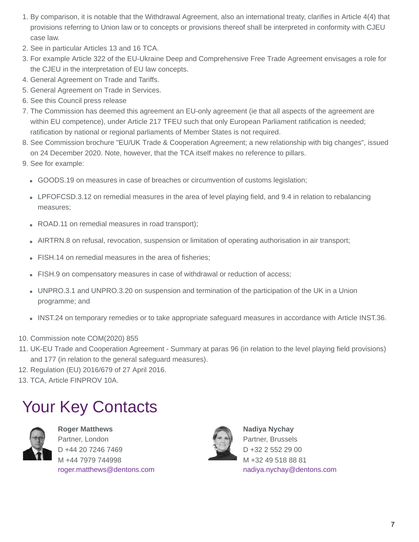- 1. By comparison, it is notable that the Withdrawal Agreement, also an international treaty, clarifies in Article 4(4) that provisions referring to Union law or to concepts or provisions thereof shall be interpreted in conformity with CJEU case law.
- 2. See in particular Articles 13 and 16 TCA.
- 3. For example Article 322 of the EU-Ukraine Deep and Comprehensive Free Trade Agreement envisages a role for the CJEU in the interpretation of EU law concepts.
- 4. General Agreement on Trade and Tariffs.
- 5. General Agreement on Trade in Services.
- 6. See this [Council press release](https://www.consilium.europa.eu/en/press/press-releases/2020/12/29/eu-uk-trade-and-cooperation-agreement-council-adopts-decision-on-the-signing/)
- 7. The Commission has deemed this agreement an EU-only agreement (ie that all aspects of the agreement are within EU competence), under Article 217 TFEU such that only European Parliament ratification is needed; ratification by national or regional parliaments of Member States is not required.
- 8. See Commission brochure ["EU/UK Trade & Cooperation Agreement; a new relationship with big changes"](https://ec.europa.eu/info/sites/info/files/brexit_files/info_site/6_pager_final.pdf), issued on 24 December 2020. Note, however, that the TCA itself makes no reference to pillars.
- 9. See for example:
	- GOODS.19 on measures in case of breaches or circumvention of customs legislation; **•**
	- LPFOFCSD.3.12 on remedial measures in the area of level playing field, and 9.4 in relation to rebalancing **•** measures;
	- ROAD.11 on remedial measures in road transport); **•**
	- AIRTRN.8 on refusal, revocation, suspension or limitation of operating authorisation in air transport; **•**
	- FISH.14 on remedial measures in the area of fisheries; **•**
	- FISH.9 on compensatory measures in case of withdrawal or reduction of access;
	- UNPRO.3.1 and UNPRO.3.20 on suspension and termination of the participation of the UK in a Union **•** programme; and
	- INST.24 on temporary remedies or to take appropriate safeguard measures in accordance with Article INST.36.
- 10. [Commission note COM\(2020\) 855](https://ec.europa.eu/info/sites/info/files/brexit_files/info_site/com_2020_855_final_act_v1.pdf)
- [UK-EU Trade and Cooperation Agreement Summary](https://assets.publishing.service.gov.uk/government/uploads/system/uploads/attachment_data/file/948093/TCA_SUMMARY_PDF.pdf) at paras 96 (in relation to the level playing field provisions) 11. and 177 (in relation to the general safeguard measures).
- 12. Regulation (EU) 2016/679 of 27 April 2016.
- 13. TCA, Article FINPROV 10A.

# Your Key Contacts



**Roger Matthews** Partner, London D +44 20 7246 7469 M +44 7979 744998 [roger.matthews@dentons.com](https://www.dentons.com/en/pdf-pages/generateinsightpdf?isPdf=true&ItemId=kYI+96MqBpz1oNORvabszFQGBvGX+rNQYaoqrnGdgq1CZ7JKEXEJwA==#)



**Nadiya Nychay** Partner, Brussels D +32 2 552 29 00 M +32 49 518 88 81 [nadiya.nychay@dentons.com](https://www.dentons.com/en/pdf-pages/generateinsightpdf?isPdf=true&ItemId=kYI+96MqBpz1oNORvabszFQGBvGX+rNQYaoqrnGdgq1CZ7JKEXEJwA==#)